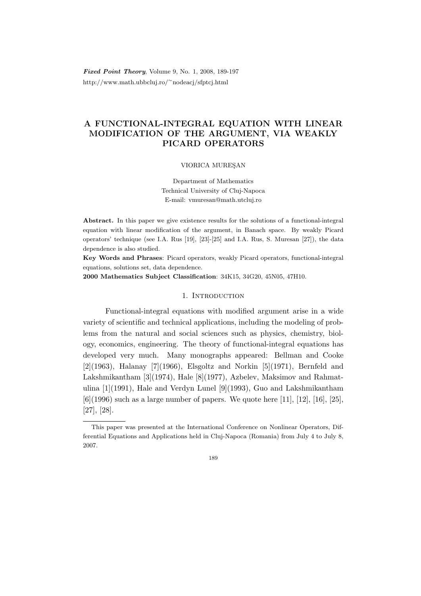Fixed Point Theory, Volume 9, No. 1, 2008, 189-197 http://www.math.ubbcluj.ro/<sup>∼</sup>nodeacj/sfptcj.html

# A FUNCTIONAL-INTEGRAL EQUATION WITH LINEAR MODIFICATION OF THE ARGUMENT, VIA WEAKLY PICARD OPERATORS

### VIORICA MURESAN

Department of Mathematics Technical University of Cluj-Napoca E-mail: vmuresan@math.utcluj.ro

Abstract. In this paper we give existence results for the solutions of a functional-integral equation with linear modification of the argument, in Banach space. By weakly Picard operators' technique (see I.A. Rus [19], [23]-[25] and I.A. Rus, S. Muresan [27]), the data dependence is also studied.

Key Words and Phrases: Picard operators, weakly Picard operators, functional-integral equations, solutions set, data dependence.

2000 Mathematics Subject Classification: 34K15, 34G20, 45N05, 47H10.

## 1. INTRODUCTION

Functional-integral equations with modified argument arise in a wide variety of scientific and technical applications, including the modeling of problems from the natural and social sciences such as physics, chemistry, biology, economics, engineering. The theory of functional-integral equations has developed very much. Many monographs appeared: Bellman and Cooke  $[2](1963)$ , Halanay  $[7](1966)$ , Elsgoltz and Norkin  $[5](1971)$ , Bernfeld and Lakshmikantham [3](1974), Hale [8](1977), Azbelev, Maksimov and Rahmatulina  $[1](1991)$ , Hale and Verdyn Lunel  $[9](1993)$ , Guo and Lakshmikantham  $[6]$ (1996) such as a large number of papers. We quote here [11], [12], [16], [25], [27], [28].

This paper was presented at the International Conference on Nonlinear Operators, Differential Equations and Applications held in Cluj-Napoca (Romania) from July 4 to July 8, 2007.

<sup>189</sup>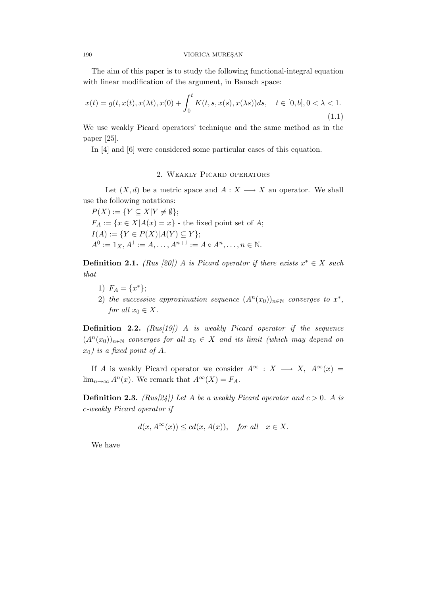#### 190 VIORICA MUREŞAN

The aim of this paper is to study the following functional-integral equation with linear modification of the argument, in Banach space:

$$
x(t) = g(t, x(t), x(\lambda t), x(0) + \int_0^t K(t, s, x(s), x(\lambda s))ds, \quad t \in [0, b], 0 < \lambda < 1.
$$
\n(1.1)

We use weakly Picard operators' technique and the same method as in the paper [25].

In [4] and [6] were considered some particular cases of this equation.

# 2. Weakly Picard operators

Let  $(X, d)$  be a metric space and  $A: X \longrightarrow X$  an operator. We shall use the following notations:

 $P(X) := \{ Y \subseteq X | Y \neq \emptyset \};$  $F_A := \{x \in X | A(x) = x\}$  - the fixed point set of A;  $I(A) := \{ Y \in P(X) | A(Y) \subseteq Y \};$  $A^0 := 1_X, A^1 := A, \dots, A^{n+1} := A \circ A^n, \dots, n \in \mathbb{N}.$ 

**Definition 2.1.** (Rus [20]) A is Picard operator if there exists  $x^* \in X$  such that

- 1)  $F_A = \{x^*\};$
- 2) the successive approximation sequence  $(A<sup>n</sup>(x<sub>0</sub>))<sub>n\in\mathbb{N}</sub>$  converges to  $x^*$ , for all  $x_0 \in X$ .

**Definition 2.2.**  $(Rus[19])$  A is weakly Picard operator if the sequence  $(A<sup>n</sup>(x<sub>0</sub>))<sub>n\in\mathbb{N}</sub>$  converges for all  $x<sub>0</sub> \in X$  and its limit (which may depend on  $x_0$ ) is a fixed point of A.

If A is weakly Picard operator we consider  $A^{\infty} : X \longrightarrow X$ ,  $A^{\infty}(x) =$  $\lim_{n\to\infty} A^n(x)$ . We remark that  $A^{\infty}(X) = F_A$ .

**Definition 2.3.** (Rus[24]) Let A be a weakly Picard operator and  $c > 0$ . A is c-weakly Picard operator if

$$
d(x, A^{\infty}(x)) \le cd(x, A(x)), \text{ for all } x \in X.
$$

We have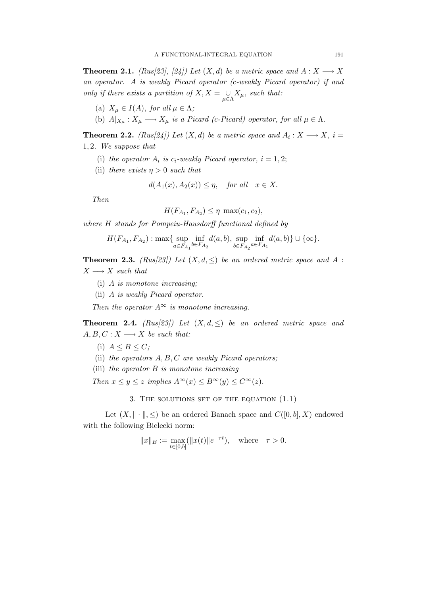**Theorem 2.1.** (Rus[23], [24]) Let  $(X, d)$  be a metric space and  $A: X \longrightarrow X$ an operator. A is weakly Picard operator (c-weakly Picard operator) if and only if there exists a partition of  $X, X = \bigcup_{\mu \in \Lambda} X_{\mu}$ , such that:

- (a)  $X_{\mu} \in I(A)$ , for all  $\mu \in \Lambda$ ;
- (b)  $A|_{X_\mu}: X_\mu \longrightarrow X_\mu$  is a Picard (c-Picard) operator, for all  $\mu \in \Lambda$ .

**Theorem 2.2.** (Rus[24]) Let  $(X,d)$  be a metric space and  $A_i: X \longrightarrow X$ ,  $i =$ 1, 2. We suppose that

- (i) the operator  $A_i$  is  $c_i$ -weakly Picard operator,  $i = 1, 2$ ;
- (ii) there exists  $\eta > 0$  such that

$$
d(A_1(x), A_2(x)) \le \eta, \quad \text{for all} \quad x \in X.
$$

Then

$$
H(F_{A_1}, F_{A_2}) \le \eta \, \max(c_1, c_2),
$$

where H stands for Pompeiu-Hausdorff functional defined by

$$
H(F_{A_1}, F_{A_2}) : \max\{\sup_{a \in F_{A_1}} \inf_{b \in F_{A_2}} d(a, b), \sup_{b \in F_{A_2}} \inf_{a \in F_{A_1}} d(a, b)\} \cup \{\infty\}.
$$

**Theorem 2.3.** (Rus(23)) Let  $(X, d, \leq)$  be an ordered metric space and A :  $X \longrightarrow X$  such that

- (i) A is monotone increasing;
- (ii) A is weakly Picard operator.

Then the operator  $A^{\infty}$  is monotone increasing.

**Theorem 2.4.**  $(Rus[23])$  Let  $(X, d, \leq)$  be an ordered metric space and  $A, B, C: X \longrightarrow X$  be such that:

(i)  $A \leq B \leq C$ ;

- (ii) the operators  $A, B, C$  are weakly Picard operators;
- (iii) the operator  $B$  is monotone increasing

Then  $x \le y \le z$  implies  $A^{\infty}(x) \le B^{\infty}(y) \le C^{\infty}(z)$ .

3. THE SOLUTIONS SET OF THE EQUATION  $(1.1)$ 

Let  $(X, \|\cdot\|, \leq)$  be an ordered Banach space and  $C([0, b], X)$  endowed with the following Bielecki norm:

$$
||x||_B := \max_{t \in [0,b]} (||x(t)||e^{-\tau t}), \text{ where } \tau > 0.
$$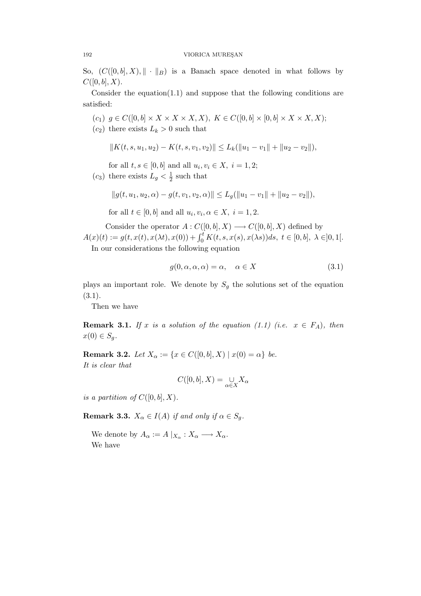So,  $(C([0, b], X), \| \cdot \|_B)$  is a Banach space denoted in what follows by  $C([0, b], X).$ 

Consider the equation(1.1) and suppose that the following conditions are satisfied:

- $(c_1)$   $g \in C([0,b] \times X \times X \times X, X), K \in C([0,b] \times [0,b] \times X \times X, X);$
- $(c_2)$  there exists  $L_k > 0$  such that

$$
||K(t, s, u_1, u_2) - K(t, s, v_1, v_2)|| \le L_k(||u_1 - v_1|| + ||u_2 - v_2||),
$$

for all  $t, s \in [0, b]$  and all  $u_i, v_i \in X$ ,  $i = 1, 2$ ;

 $(c_3)$  there exists  $L_g < \frac{1}{2}$  $\frac{1}{2}$  such that

$$
||g(t, u_1, u_2, \alpha) - g(t, v_1, v_2, \alpha)|| \le L_g(||u_1 - v_1|| + ||u_2 - v_2||),
$$

for all  $t \in [0, b]$  and all  $u_i, v_i, \alpha \in X$ ,  $i = 1, 2$ .

Consider the operator  $A: C([0, b], X) \longrightarrow C([0, b], X)$  defined by  $A(x)(t) := g(t, x(t), x(\lambda t), x(0)) + \int_0^t K(t, s, x(s), x(\lambda s))ds, t \in [0, b], \lambda \in ]0, 1[$ .

In our considerations the following equation

$$
g(0, \alpha, \alpha, \alpha) = \alpha, \quad \alpha \in X \tag{3.1}
$$

plays an important role. We denote by  $S_g$  the solutions set of the equation (3.1).

Then we have

**Remark 3.1.** If x is a solution of the equation (1.1) (i.e.  $x \in F_A$ ), then  $x(0) \in S_q$ .

**Remark 3.2.** Let  $X_{\alpha} := \{x \in C([0, b], X) \mid x(0) = \alpha\}$  be. It is clear that

$$
C([0,b],X) = \bigcup_{\alpha \in X} X_{\alpha}
$$

is a partition of  $C([0, b], X)$ .

**Remark 3.3.**  $X_{\alpha} \in I(A)$  if and only if  $\alpha \in S_a$ .

We denote by  $A_{\alpha} := A |_{X_{\alpha}} : X_{\alpha} \longrightarrow X_{\alpha}$ . We have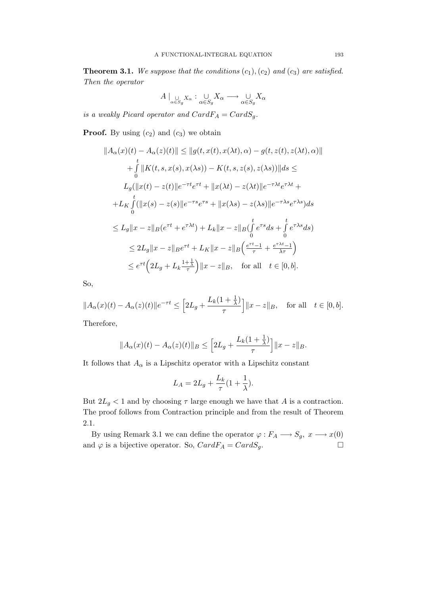**Theorem 3.1.** We suppose that the conditions  $(c_1), (c_2)$  and  $(c_3)$  are satisfied. Then the operator

$$
A \mid_{\alpha \in S_g} X_{\alpha} : \bigcup_{\alpha \in S_g} X_{\alpha} \longrightarrow \bigcup_{\alpha \in S_g} X_{\alpha}
$$

is a weakly Picard operator and  $CardF_A = CardS_q$ .

**Proof.** By using  $(c_2)$  and  $(c_3)$  we obtain

$$
||A_{\alpha}(x)(t) - A_{\alpha}(z)(t)|| \le ||g(t, x(t), x(\lambda t), \alpha) - g(t, z(t), z(\lambda t), \alpha)||
$$
  
+ 
$$
\int_{0}^{t} ||K(t, s, x(s), x(\lambda s)) - K(t, s, z(s), z(\lambda s))||ds \le
$$
  

$$
L_{g}(||x(t) - z(t)||e^{-\tau t}e^{\tau t} + ||x(\lambda t) - z(\lambda t)||e^{-\tau \lambda t}e^{\tau \lambda t} +
$$
  
+ 
$$
L_{K} \int_{0}^{t} (||x(s) - z(s)||e^{-\tau s}e^{\tau s} + ||x(\lambda s) - z(\lambda s)||e^{-\tau \lambda s}e^{\tau \lambda s})ds
$$
  

$$
\le L_{g}||x - z||_{B}(e^{\tau t} + e^{\tau \lambda t}) + L_{k}||x - z||_{B}(\int_{0}^{t} e^{\tau s}ds + \int_{0}^{t} e^{\tau \lambda s}ds)
$$
  

$$
\le 2L_{g}||x - z||_{B}e^{\tau t} + L_{K}||x - z||_{B}(\frac{e^{\tau t} - 1}{\tau} + \frac{e^{\tau \lambda t} - 1}{\lambda \tau})
$$
  

$$
\le e^{\tau t} (2L_{g} + L_{k} \frac{1 + \frac{1}{\lambda})}{\tau} ||x - z||_{B}, \text{ for all } t \in [0, b].
$$

So,

$$
||A_{\alpha}(x)(t) - A_{\alpha}(z)(t)||e^{-\tau t} \le \left[2L_g + \frac{L_k(1+\frac{1}{\lambda})}{\tau}\right] ||x-z||_B, \text{ for all } t \in [0,b].
$$

Therefore,

$$
||A_{\alpha}(x)(t) - A_{\alpha}(z)(t)||_{B} \leq \left[2L_{g} + \frac{L_{k}(1 + \frac{1}{\lambda})}{\tau}\right]||x - z||_{B}.
$$

It follows that  $A_\alpha$  is a Lipschitz operator with a Lipschitz constant

$$
L_A = 2L_g + \frac{L_k}{\tau} (1 + \frac{1}{\lambda}).
$$

But  $2L_g < 1$  and by choosing  $\tau$  large enough we have that A is a contraction. The proof follows from Contraction principle and from the result of Theorem 2.1.

By using Remark 3.1 we can define the operator  $\varphi: F_A \longrightarrow S_g, \ x \longrightarrow x(0)$ and  $\varphi$  is a bijective operator. So,  $CardF_A = CardS_g$ .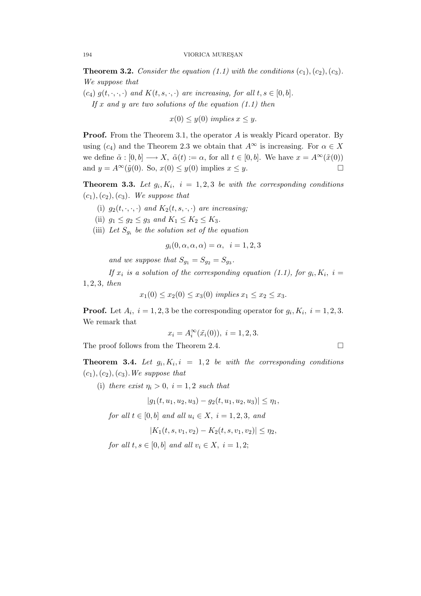**Theorem 3.2.** Consider the equation (1.1) with the conditions  $(c_1), (c_2), (c_3)$ . We suppose that

(c<sub>4</sub>)  $g(t, \cdot, \cdot, \cdot)$  and  $K(t, s, \cdot, \cdot)$  are increasing, for all  $t, s \in [0, b]$ . If x and y are two solutions of the equation  $(1.1)$  then

 $x(0) \leq y(0)$  implies  $x \leq y$ .

**Proof.** From the Theorem 3.1, the operator A is weakly Picard operator. By using  $(c_4)$  and the Theorem 2.3 we obtain that  $A^{\infty}$  is increasing. For  $\alpha \in X$ we define  $\tilde{\alpha}: [0, b] \longrightarrow X$ ,  $\tilde{\alpha}(t) := \alpha$ , for all  $t \in [0, b]$ . We have  $x = A^{\infty}(\tilde{x}(0))$ and  $y = A^{\infty}(\tilde{y}(0))$ . So,  $x(0) \leq y(0)$  implies  $x \leq y$ .

**Theorem 3.3.** Let  $g_i, K_i$ ,  $i = 1, 2, 3$  be with the corresponding conditions  $(c_1), (c_2), (c_3)$ . We suppose that

- (i)  $g_2(t, \cdot, \cdot, \cdot)$  and  $K_2(t, s, \cdot, \cdot)$  are increasing;
- (ii)  $g_1 \le g_2 \le g_3$  and  $K_1 \le K_2 \le K_3$ .
- (iii) Let  $S_{g_i}$  be the solution set of the equation

 $g_i(0, \alpha, \alpha, \alpha) = \alpha$ ,  $i = 1, 2, 3$ 

and we suppose that  $S_{g_1} = S_{g_2} = S_{g_3}$ .

If  $x_i$  is a solution of the corresponding equation (1.1), for  $g_i, K_i$ ,  $i =$ 1, 2, 3, then

 $x_1(0) \le x_2(0) \le x_3(0)$  implies  $x_1 \le x_2 \le x_3$ .

**Proof.** Let  $A_i$ ,  $i = 1, 2, 3$  be the corresponding operator for  $g_i$ ,  $K_i$ ,  $i = 1, 2, 3$ . We remark that

$$
x_i = A_i^{\infty}(\tilde{x}_i(0)), \ i = 1, 2, 3.
$$

The proof follows from the Theorem 2.4.

**Theorem 3.4.** Let  $g_i, K_i, i = 1, 2$  be with the corresponding conditions  $(c_1), (c_2), (c_3)$ . We suppose that

(i) there exist  $\eta_i > 0$ ,  $i = 1, 2$  such that

$$
|g_1(t,u_1,u_2,u_3)-g_2(t,u_1,u_2,u_3)|\leq \eta_1,
$$

for all  $t \in [0, b]$  and all  $u_i \in X$ ,  $i = 1, 2, 3$ , and

$$
|K_1(t, s, v_1, v_2) - K_2(t, s, v_1, v_2)| \le \eta_2,
$$

for all  $t, s \in [0, b]$  and all  $v_i \in X$ ,  $i = 1, 2$ ;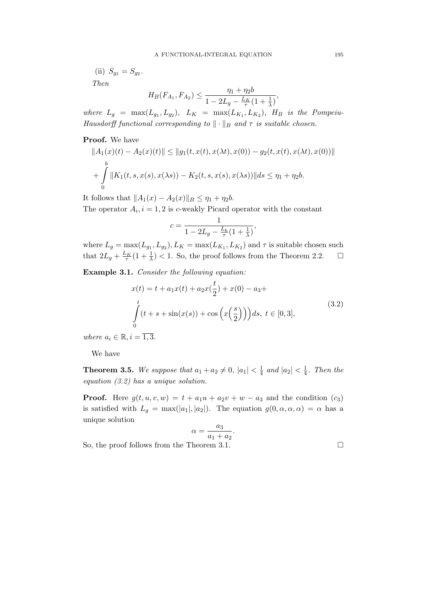(ii)  $S_{g_1} = S_{g_2}$ . Then

$$
H_B(F_{A_1}, F_{A_2}) \leq \frac{\eta_1 + \eta_2 b}{1 - 2L_g - \frac{L_K}{\tau} (1 + \frac{1}{\lambda})},
$$

where  $L_g = \max(L_{g_1}, L_{g_2}), L_K = \max(L_{K_1}, L_{K_2}), H_B$  is the Pompeiu-Hausdorff functional corresponding to  $\|\cdot\|_B$  and  $\tau$  is suitable chosen.

# Proof. We have

$$
||A_1(x)(t) - A_2(x)(t)|| \le ||g_1(t, x(t), x(\lambda t), x(0)) - g_2(t, x(t), x(\lambda t), x(0))||
$$
  
+ 
$$
\int_0^b ||K_1(t, s, x(s), x(\lambda s)) - K_2(t, s, x(s), x(\lambda s))|| ds \le \eta_1 + \eta_2 b.
$$

It follows that  $||A_1(x) - A_2(x)||_B \le \eta_1 + \eta_2 b$ .

The operator  $A_i$ ,  $i = 1, 2$  is c-weakly Picard operator with the constant

$$
c = \frac{1}{1 - 2L_g - \frac{L_k}{\tau} (1 + \frac{1}{\lambda})},
$$

where  $L_g = \max(L_{g_1}, L_{g_2}), L_K = \max(L_{K_1}, L_{K_2})$  and  $\tau$  is suitable chosen such that  $2L_g + \frac{L_K}{\tau}(1 + \frac{1}{\lambda}) < 1$ . So, the proof follows from the Theorem 2.2.

Example 3.1. Consider the following equation:

$$
x(t) = t + a_1 x(t) + a_2 x(\frac{t}{2}) + x(0) - a_3 +
$$
  

$$
\int_{0}^{t} (t + s + \sin(x(s)) + \cos(x(\frac{s}{2}))) ds, t \in [0, 3],
$$
 (3.2)

where  $a_i \in \mathbb{R}, i = \overline{1,3}.$ 

We have

**Theorem 3.5.** We suppose that  $a_1 + a_2 \neq 0$ ,  $|a_1| < \frac{1}{4}$  $\frac{1}{4}$  and  $|a_2| < \frac{1}{4}$  $rac{1}{4}$ . Then the equation (3.2) has a unique solution.

**Proof.** Here  $g(t, u, v, w) = t + a_1u + a_2v + w - a_3$  and the condition  $(c_3)$ is satisfied with  $L_g = \max(|a_1|, |a_2|)$ . The equation  $g(0, \alpha, \alpha, \alpha) = \alpha$  has a unique solution

$$
\alpha = \frac{a_3}{a_1 + a_2}.
$$

So, the proof follows from the Theorem 3.1.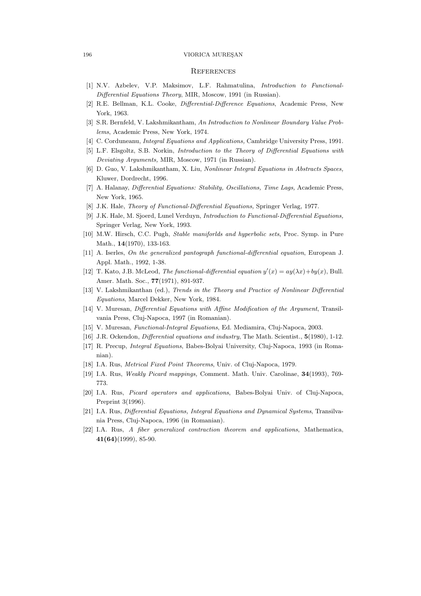#### 196 VIORICA MUREŞAN

### **REFERENCES**

- [1] N.V. Azbelev, V.P. Maksimov, L.F. Rahmatulina, Introduction to Functional-Differential Equations Theory, MIR, Moscow, 1991 (in Russian).
- [2] R.E. Bellman, K.L. Cooke, Differential-Difference Equations, Academic Press, New York, 1963.
- [3] S.R. Bernfeld, V. Lakshmikantham, An Introduction to Nonlinear Boundary Value Problems, Academic Press, New York, 1974.
- [4] C. Corduneanu, Integral Equations and Applications, Cambridge University Press, 1991.
- [5] L.F. Elsgoltz, S.B. Norkin, Introduction to the Theory of Differential Equations with Deviating Arguments, MIR, Moscow, 1971 (in Russian).
- [6] D. Guo, V. Lakshmikantham, X. Liu, Nonlinear Integral Equations in Abstracts Spaces, Kluwer, Dordrecht, 1996.
- [7] A. Halanay, Differential Equations: Stability, Oscillations, Time Lags, Academic Press, New York, 1965.
- [8] J.K. Hale, Theory of Functional-Differential Equations, Springer Verlag, 1977.
- [9] J.K. Hale, M. Sjoerd, Lunel Verduyn, Introduction to Functional-Differential Equations, Springer Verlag, New York, 1993.
- [10] M.W. Hirsch, C.C. Pugh, Stable maniforlds and hyperbolic sets, Proc. Symp. in Pure Math., 14(1970), 133-163.
- [11] A. Iserles, On the generalized pantograph functional-differential equation, European J. Appl. Math., 1992, 1-38.
- [12] T. Kato, J.B. McLeod, *The functional-differential equation*  $y'(x) = ay(\lambda x) + by(x)$ , Bull. Amer. Math. Soc., **77**(1971), 891-937.
- [13] V. Lakshmikanthan (ed.), Trends in the Theory and Practice of Nonlinear Differential Equations, Marcel Dekker, New York, 1984.
- [14] V. Muresan, Differential Equations with Affine Modification of the Argument, Transilvania Press, Cluj-Napoca, 1997 (in Romanian).
- [15] V. Muresan, Functional-Integral Equations, Ed. Mediamira, Cluj-Napoca, 2003.
- [16] J.R. Ockendon, *Differential equations and industry*, The Math. Scientist., **5**(1980), 1-12.
- [17] R. Precup, Integral Equations, Babes-Bolyai University, Cluj-Napoca, 1993 (in Romanian).
- [18] I.A. Rus, *Metrical Fixed Point Theorems*, Univ. of Cluj-Napoca, 1979.
- [19] I.A. Rus, Weakly Picard mappings, Comment. Math. Univ. Carolinae, 34(1993), 769- 773.
- [20] I.A. Rus, Picard operators and applications, Babes-Bolyai Univ. of Cluj-Napoca, Preprint 3(1996).
- [21] I.A. Rus, Differential Equations, Integral Equations and Dynamical Systems, Transilvania Press, Cluj-Napoca, 1996 (in Romanian).
- [22] I.A. Rus, A fiber generalized contraction theorem and applications, Mathematica, 41(64)(1999), 85-90.